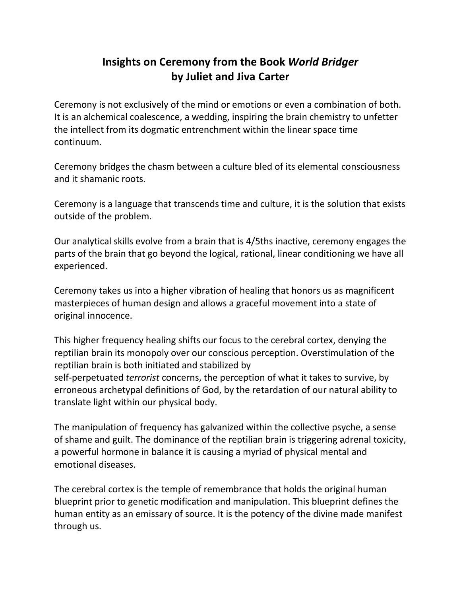## **Insights on Ceremony from the Book** *World Bridger* **by Juliet and Jiva Carter**

Ceremony is not exclusively of the mind or emotions or even a combination of both. It is an alchemical coalescence, a wedding, inspiring the brain chemistry to unfetter the intellect from its dogmatic entrenchment within the linear space time continuum.

Ceremony bridges the chasm between a culture bled of its elemental consciousness and it shamanic roots.

Ceremony is a language that transcends time and culture, it is the solution that exists outside of the problem.

Our analytical skills evolve from a brain that is 4/5ths inactive, ceremony engages the parts of the brain that go beyond the logical, rational, linear conditioning we have all experienced.

Ceremony takes us into a higher vibration of healing that honors us as magnificent masterpieces of human design and allows a graceful movement into a state of original innocence.

This higher frequency healing shifts our focus to the cerebral cortex, denying the reptilian brain its monopoly over our conscious perception. Overstimulation of the reptilian brain is both initiated and stabilized by self-perpetuated *terrorist* concerns, the perception of what it takes to survive, by erroneous archetypal definitions of God, by the retardation of our natural ability to translate light within our physical body.

The manipulation of frequency has galvanized within the collective psyche, a sense of shame and guilt. The dominance of the reptilian brain is triggering adrenal toxicity, a powerful hormone in balance it is causing a myriad of physical mental and emotional diseases.

The cerebral cortex is the temple of remembrance that holds the original human blueprint prior to genetic modification and manipulation. This blueprint defines the human entity as an emissary of source. It is the potency of the divine made manifest through us.